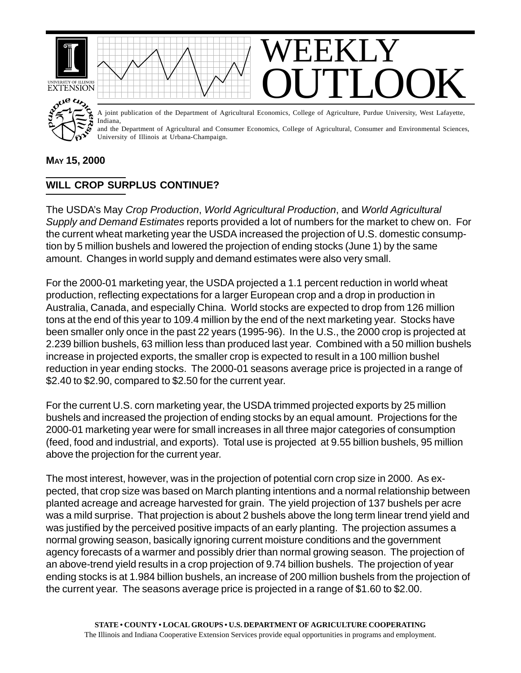

**MAY 15, 2000**

## **WILL CROP SURPLUS CONTINUE?**

The USDA's May *Crop Production*, *World Agricultural Production*, and *World Agricultural Supply and Demand Estimates* reports provided a lot of numbers for the market to chew on. For the current wheat marketing year the USDA increased the projection of U.S. domestic consumption by 5 million bushels and lowered the projection of ending stocks (June 1) by the same amount. Changes in world supply and demand estimates were also very small.

For the 2000-01 marketing year, the USDA projected a 1.1 percent reduction in world wheat production, reflecting expectations for a larger European crop and a drop in production in Australia, Canada, and especially China. World stocks are expected to drop from 126 million tons at the end of this year to 109.4 million by the end of the next marketing year. Stocks have been smaller only once in the past 22 years (1995-96). In the U.S., the 2000 crop is projected at 2.239 billion bushels, 63 million less than produced last year. Combined with a 50 million bushels increase in projected exports, the smaller crop is expected to result in a 100 million bushel reduction in year ending stocks. The 2000-01 seasons average price is projected in a range of \$2.40 to \$2.90, compared to \$2.50 for the current year.

For the current U.S. corn marketing year, the USDA trimmed projected exports by 25 million bushels and increased the projection of ending stocks by an equal amount. Projections for the 2000-01 marketing year were for small increases in all three major categories of consumption (feed, food and industrial, and exports). Total use is projected at 9.55 billion bushels, 95 million above the projection for the current year.

The most interest, however, was in the projection of potential corn crop size in 2000. As expected, that crop size was based on March planting intentions and a normal relationship between planted acreage and acreage harvested for grain. The yield projection of 137 bushels per acre was a mild surprise. That projection is about 2 bushels above the long term linear trend yield and was justified by the perceived positive impacts of an early planting. The projection assumes a normal growing season, basically ignoring current moisture conditions and the government agency forecasts of a warmer and possibly drier than normal growing season. The projection of an above-trend yield results in a crop projection of 9.74 billion bushels. The projection of year ending stocks is at 1.984 billion bushels, an increase of 200 million bushels from the projection of the current year. The seasons average price is projected in a range of \$1.60 to \$2.00.